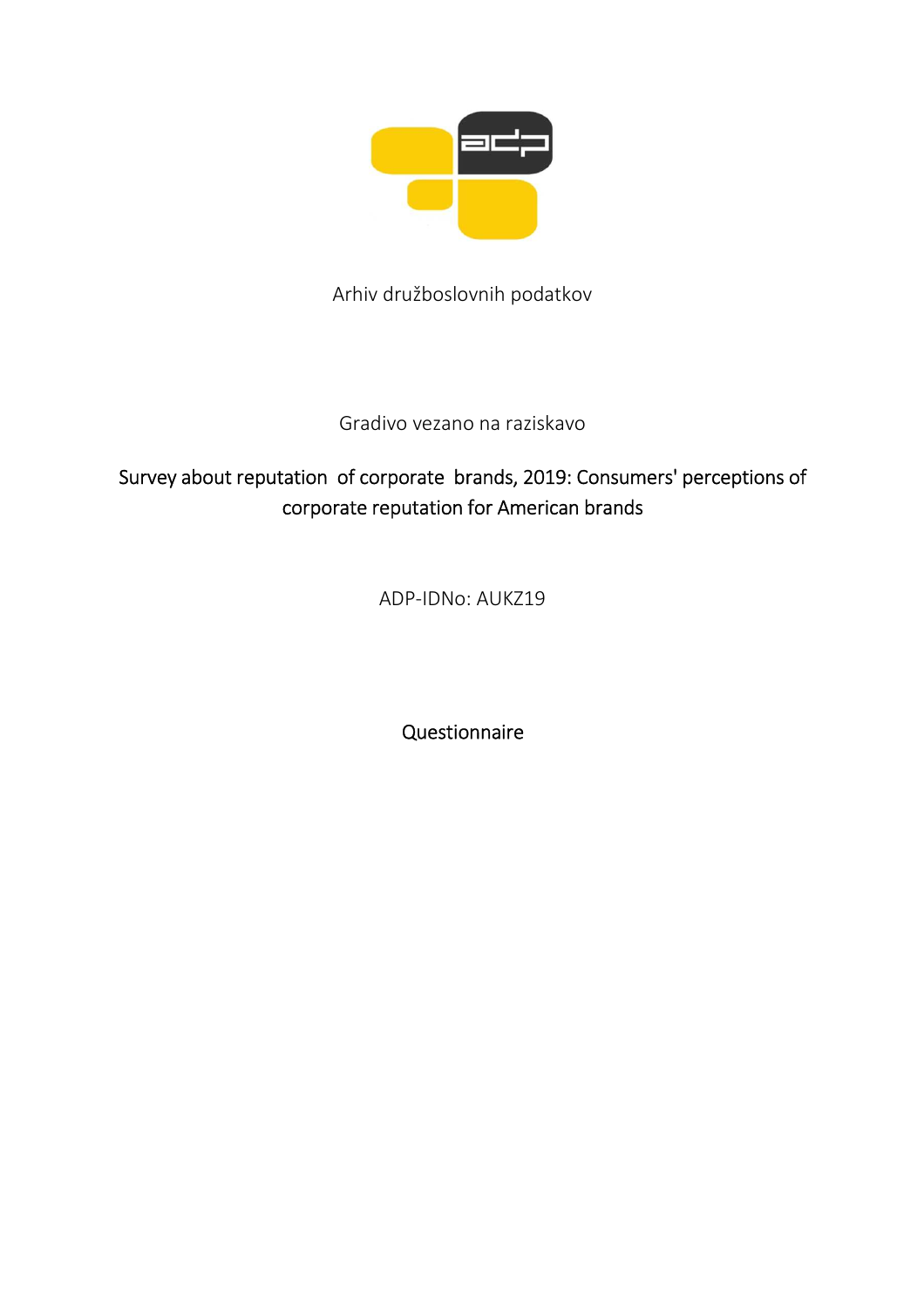

Arhiv družboslovnih podatkov

Gradivo vezano na raziskavo

# Survey about reputation of corporate brands, 2019: Consumers' perceptions of corporate reputation for American brands

ADP-IDNo: AUKZ19

Questionnaire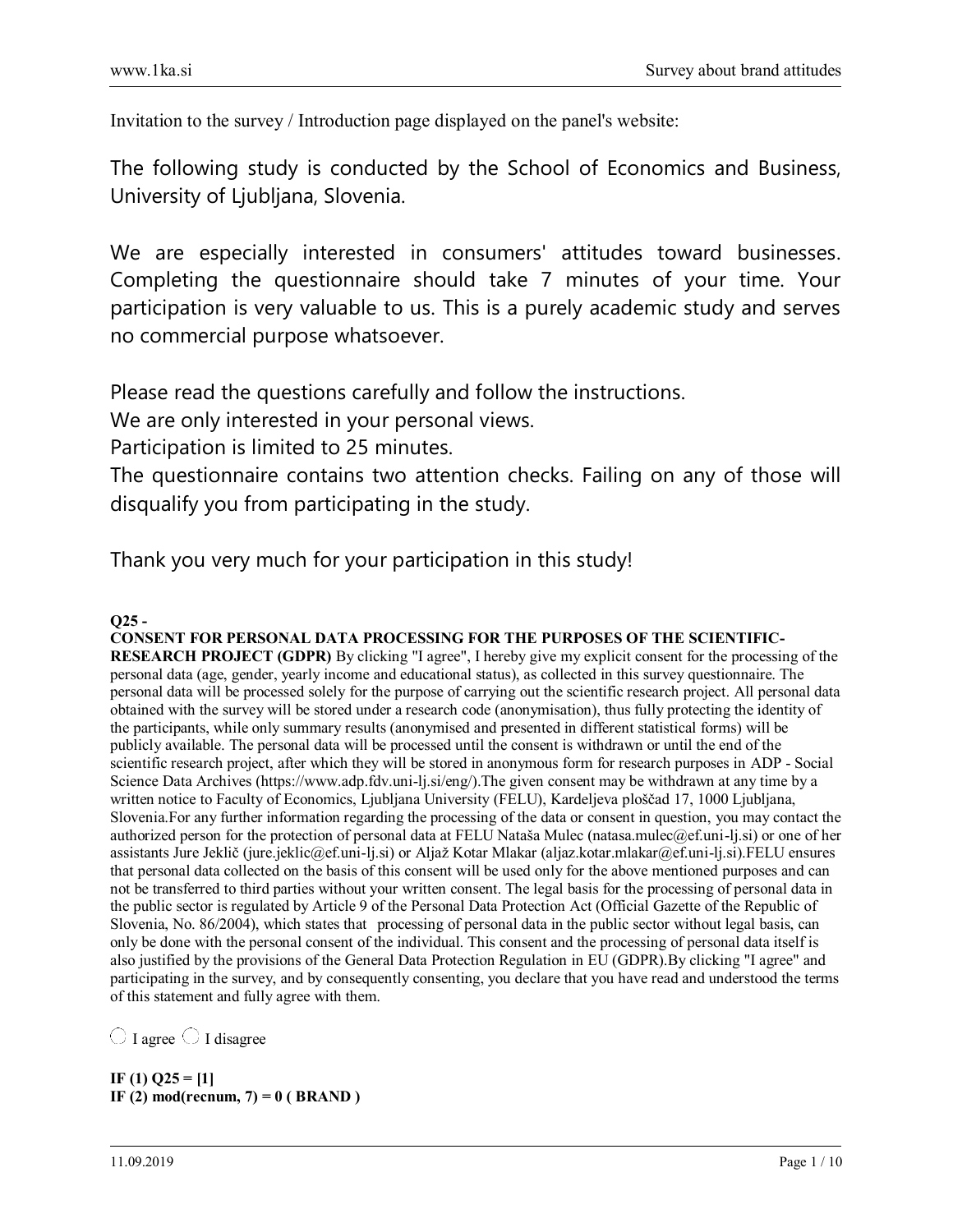Invitation to the survey / Introduction page displayed on the panel's website:

The following study is conducted by the School of Economics and Business, University of Ljubljana, Slovenia.

We are especially interested in consumers' attitudes toward businesses. Completing the questionnaire should take 7 minutes of your time. Your participation is very valuable to us. This is a purely academic study and serves no commercial purpose whatsoever.

Please read the questions carefully and follow the instructions.

We are only interested in your personal views.

Participation is limited to 25 minutes.

The questionnaire contains two attention checks. Failing on any of those will disqualify you from participating in the study.

Thank you very much for your participation in this study!

## $Q25 -$

**CONSENT FOR PERSONAL DATA PROCESSING FOR THE PURPOSES OF THE SCIENTIFIC-RESEARCH PROJECT (GDPR)** By clicking "I agree", I hereby give my explicit consent for the processing of the personal data (age, gender, yearly income and educational status), as collected in this survey questionnaire. The personal data will be processed solely for the purpose of carrying out the scientific research project. All personal data obtained with the survey will be stored under a research code (anonymisation), thus fully protecting the identity of the participants, while only summary results (anonymised and presented in different statistical forms) will be publicly available. The personal data will be processed until the consent is withdrawn or until the end of the scientific research project, after which they will be stored in anonymous form for research purposes in ADP - Social Science Data Archives (https://www.adp.fdv.uni-lj.si/eng/).The given consent may be withdrawn at any time by a written notice to Faculty of Economics, Ljubljana University (FELU), Kardeljeva ploščad 17, 1000 Ljubljana, Slovenia.For any further information regarding the processing of the data or consent in question, you may contact the authorized person for the protection of personal data at FELU Nataša Mulec (natasa.mulec@ef.uni-lj.si) or one of her assistants Jure Jeklič (jure.jeklic@ef.uni-lj.si) or Aljaž Kotar Mlakar (aljaz.kotar.mlakar@ef.uni-lj.si).FELU ensures that personal data collected on the basis of this consent will be used only for the above mentioned purposes and can not be transferred to third parties without your written consent. The legal basis for the processing of personal data in the public sector is regulated by Article 9 of the Personal Data Protection Act (Official Gazette of the Republic of Slovenia, No. 86/2004), which states that processing of personal data in the public sector without legal basis, can only be done with the personal consent of the individual. This consent and the processing of personal data itself is also justified by the provisions of the General Data Protection Regulation in EU (GDPR).By clicking "I agree" and participating in the survey, and by consequently consenting, you declare that you have read and understood the terms of this statement and fully agree with them.

 $\bigcirc$  I agree  $\bigcirc$  I disagree

**IF (1) Q25 = [1] IF (2) mod(recnum, 7) = 0 ( BRAND )**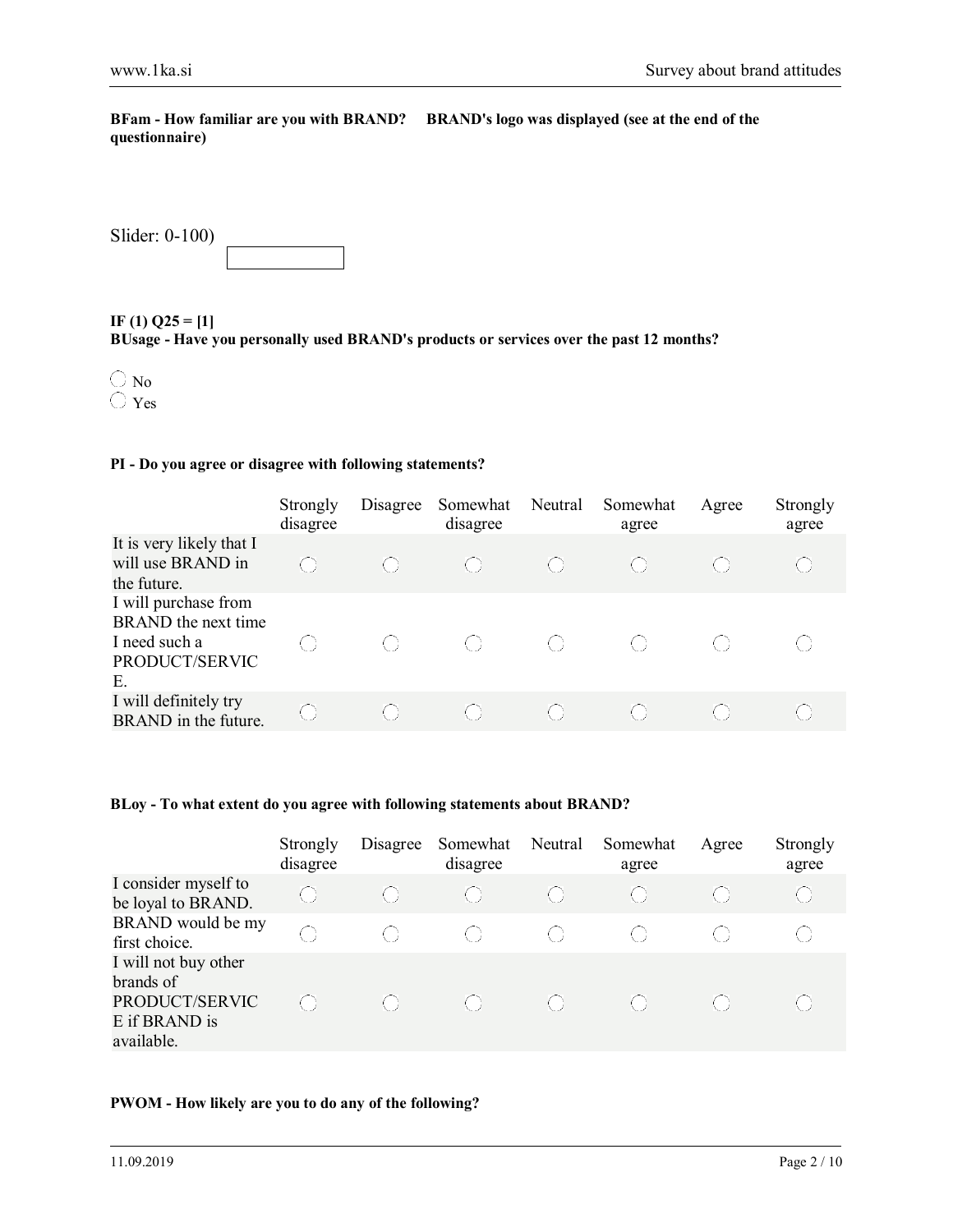**BFam - How familiar are you with BRAND? BRAND's logo was displayed (see at the end of the questionnaire)** 

| Slider: 0-100) |  |
|----------------|--|
|                |  |

**IF (1) Q25 = [1] BUsage - Have you personally used BRAND's products or services over the past 12 months?**



### **PI - Do you agree or disagree with following statements?**

|                                                                                      | Strongly<br>disagree | Disagree | Somewhat<br>disagree | Neutral | Somewhat<br>agree                             | Agree | Strongly<br>agree |
|--------------------------------------------------------------------------------------|----------------------|----------|----------------------|---------|-----------------------------------------------|-------|-------------------|
| It is very likely that I<br>will use BRAND in<br>the future.                         |                      |          |                      | -61     | $\left( \begin{array}{c} \end{array} \right)$ |       |                   |
| I will purchase from<br>BRAND the next time<br>I need such a<br>PRODUCT/SERVIC<br>Е. |                      |          | -61-31               | ( )     | ( )                                           |       |                   |
| I will definitely try<br>BRAND in the future.                                        | ( )                  |          |                      |         |                                               |       |                   |

#### **BLoy - To what extent do you agree with following statements about BRAND?**

|                                                                                    | Strongly<br>disagree | Disagree          | Somewhat<br>disagree | Neutral | Somewhat<br>agree | Agree | Strongly<br>agree |
|------------------------------------------------------------------------------------|----------------------|-------------------|----------------------|---------|-------------------|-------|-------------------|
| I consider myself to<br>be loyal to BRAND.                                         | $\left(\cdot\right)$ | $\left( -\right)$ | ( )                  |         | $(\ )$            |       |                   |
| BRAND would be my<br>first choice.                                                 | $\left(\cdot\right)$ |                   |                      |         |                   |       |                   |
| I will not buy other<br>brands of<br>PRODUCT/SERVIC<br>E if BRAND is<br>available. | ( )                  |                   |                      |         |                   |       |                   |

## **PWOM - How likely are you to do any of the following?**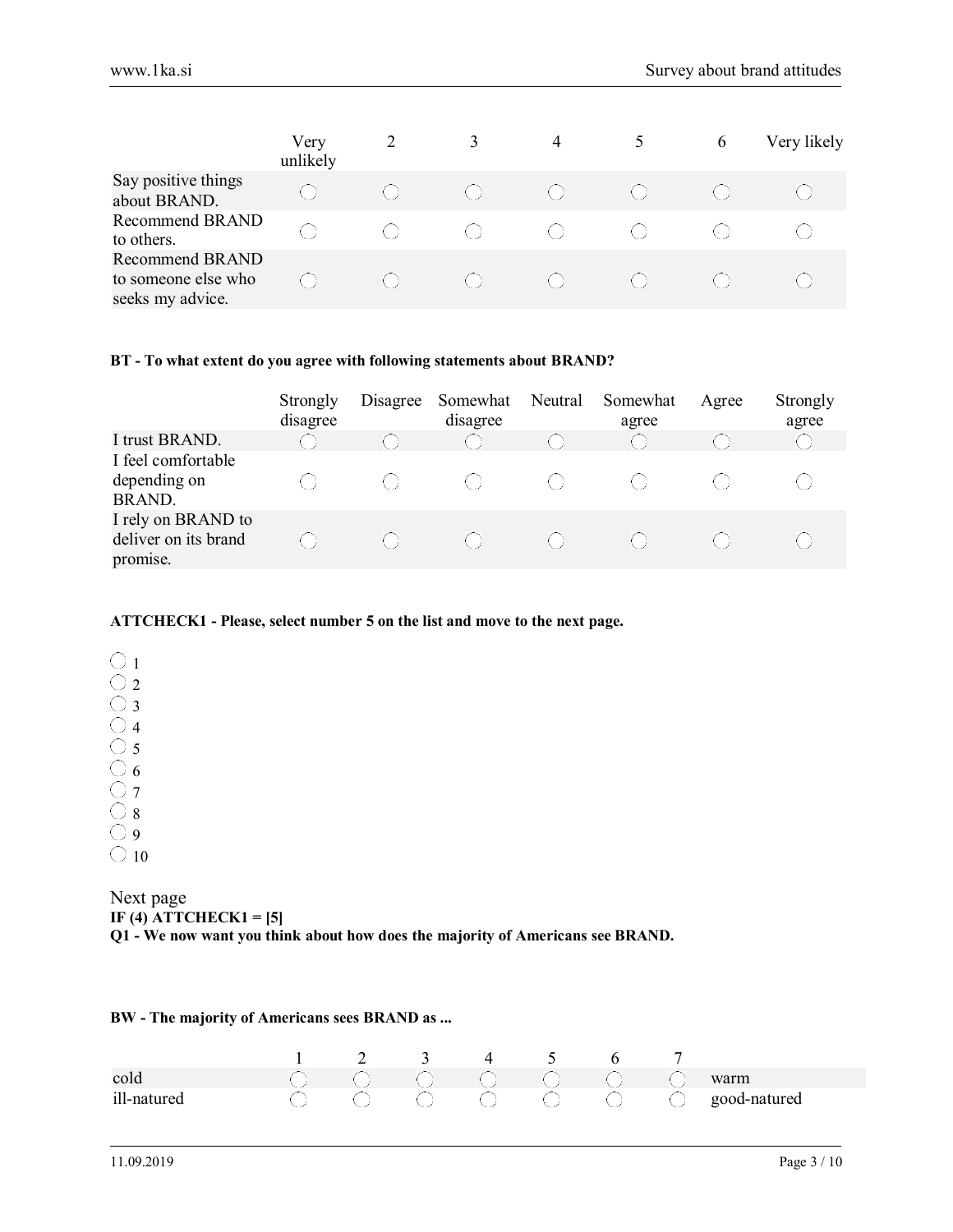|                                                                   | Very<br>unlikely | 2   | 3    | 4      |     | 6 | Very likely |
|-------------------------------------------------------------------|------------------|-----|------|--------|-----|---|-------------|
| Say positive things<br>about BRAND.                               | ( )              |     |      | -61.   | ( ) |   |             |
| Recommend BRAND<br>to others.                                     | 63               | ( ) | -61. | -61-11 |     |   |             |
| <b>Recommend BRAND</b><br>to someone else who<br>seeks my advice. |                  |     |      |        | ( ) |   |             |

#### **BT - To what extent do you agree with following statements about BRAND?**

|                                                        | Strongly<br>disagree | Disagree | Somewhat<br>disagree | Neutral | Somewhat<br>agree | Agree | Strongly<br>agree |
|--------------------------------------------------------|----------------------|----------|----------------------|---------|-------------------|-------|-------------------|
| I trust BRAND.                                         |                      |          |                      |         |                   |       |                   |
| I feel comfortable<br>depending on<br><b>BRAND.</b>    |                      |          |                      |         |                   |       |                   |
| I rely on BRAND to<br>deliver on its brand<br>promise. |                      |          |                      |         |                   |       |                   |

#### **ATTCHECK1 - Please, select number 5 on the list and move to the next page.**

|   | 1 |
|---|---|
|   | 2 |
| í | 3 |
|   |   |
|   | 5 |
| Ļ | 6 |
|   |   |
|   | 8 |
|   | ς |
|   |   |

Next page **IF (4) ATTCHECK1 = [5] Q1 - We now want you think about how does the majority of Americans see BRAND.**

#### **BW - The majority of Americans sees BRAND as ...**

|            |                      | $1 \qquad 2 \qquad 3 \qquad 4$ |  | $5\qquad 6$ |  |                                         |
|------------|----------------------|--------------------------------|--|-------------|--|-----------------------------------------|
|            | ICO CO CO CO CWARTER |                                |  |             |  |                                         |
| ill-nature |                      |                                |  |             |  | ○ ○ ○ ○ ○ ○ ○ ○ ○ ○ <b>good-natured</b> |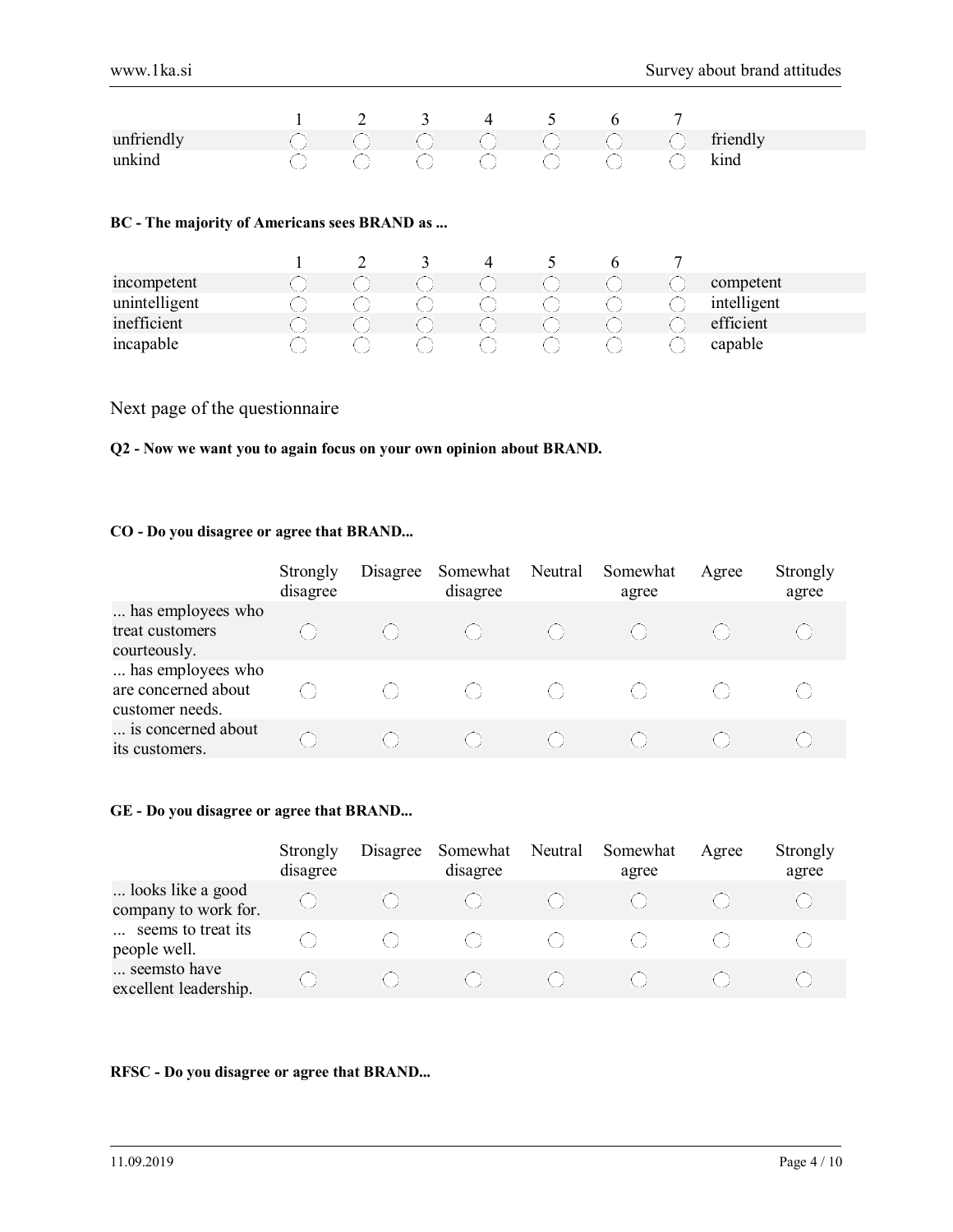|                                              |  | 2              | 3 | $\overline{4}$ | 5 | 6 | 7 |             |  |  |  |
|----------------------------------------------|--|----------------|---|----------------|---|---|---|-------------|--|--|--|
| unfriendly                                   |  |                |   |                |   |   |   | friendly    |  |  |  |
| unkind                                       |  |                |   |                |   |   |   | kind        |  |  |  |
| BC - The majority of Americans sees BRAND as |  |                |   |                |   |   |   |             |  |  |  |
|                                              |  | $\overline{2}$ | 3 | $\overline{4}$ | 5 | 6 | 7 |             |  |  |  |
| incompetent                                  |  |                |   |                |   |   |   | competent   |  |  |  |
| unintelligent                                |  |                |   |                |   |   |   | intelligent |  |  |  |
| inefficient                                  |  |                |   |                |   |   |   | efficient   |  |  |  |
| incapable                                    |  |                |   |                |   |   |   | capable     |  |  |  |

Next page of the questionnaire

#### **Q2 - Now we want you to again focus on your own opinion about BRAND.**

## **CO - Do you disagree or agree that BRAND...**

|                                                             | Strongly<br>disagree | Disagree | Somewhat<br>disagree | Neutral | Somewhat<br>agree | Agree | Strongly<br>agree |
|-------------------------------------------------------------|----------------------|----------|----------------------|---------|-------------------|-------|-------------------|
| has employees who<br>treat customers<br>courteously.        |                      |          |                      |         |                   |       |                   |
| has employees who<br>are concerned about<br>customer needs. |                      |          |                      |         |                   |       |                   |
| is concerned about<br>its customers.                        |                      |          |                      |         |                   |       |                   |

#### **GE - Do you disagree or agree that BRAND...**

|                                           | Strongly<br>disagree | Disagree | Somewhat<br>disagree | Neutral | Somewhat<br>agree | Agree | Strongly<br>agree |
|-------------------------------------------|----------------------|----------|----------------------|---------|-------------------|-------|-------------------|
| looks like a good<br>company to work for. |                      |          |                      |         |                   |       |                   |
| seems to treat its<br>people well.        |                      |          |                      |         |                   |       |                   |
| seemsto have<br>excellent leadership.     |                      |          |                      |         |                   |       |                   |

#### **RFSC - Do you disagree or agree that BRAND...**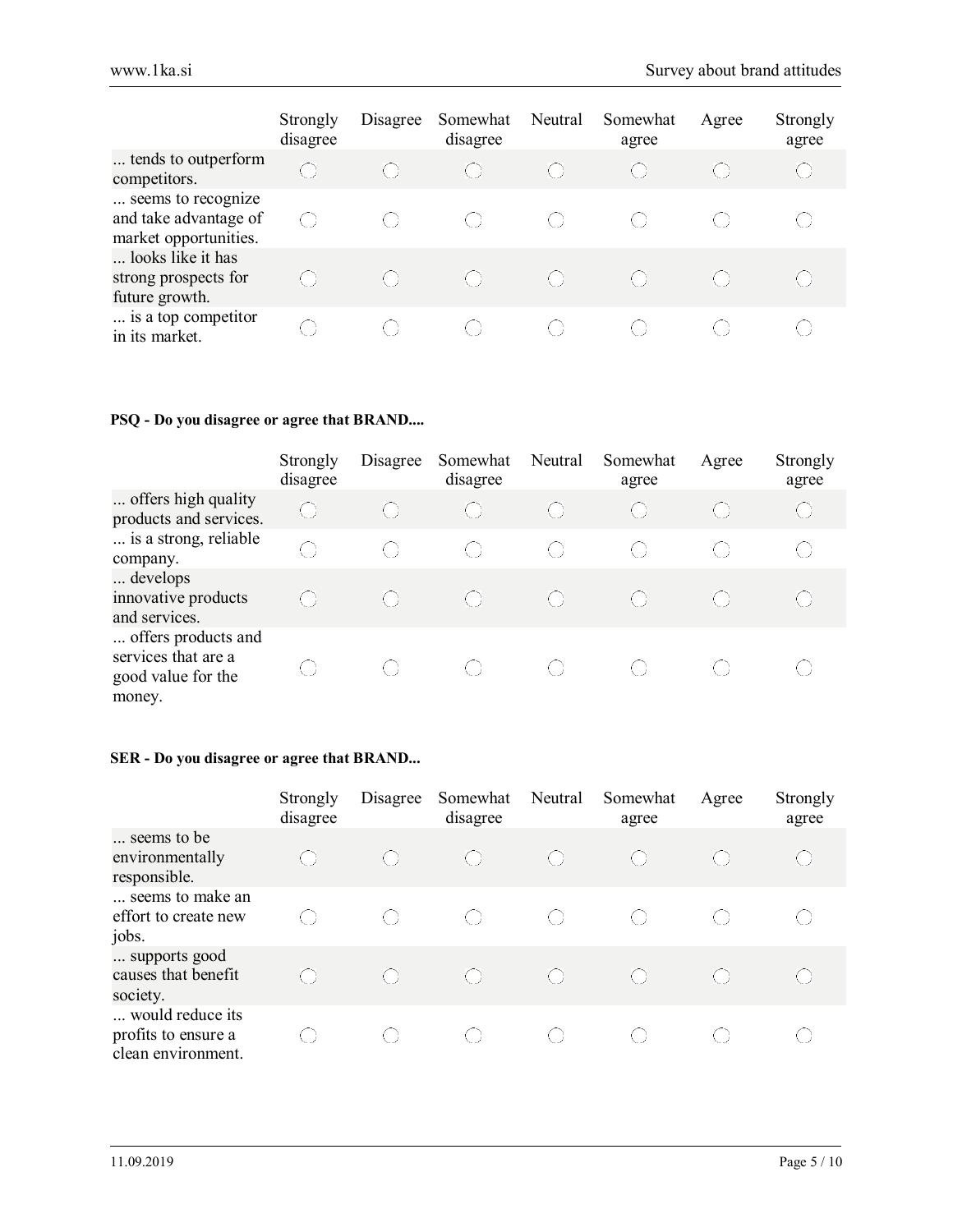|                                                                      | Strongly<br>disagree | Disagree | Somewhat<br>disagree | Neutral | Somewhat<br>agree | Agree | Strongly<br>agree |
|----------------------------------------------------------------------|----------------------|----------|----------------------|---------|-------------------|-------|-------------------|
| tends to outperform<br>competitors.                                  | ⊙                    |          |                      |         |                   |       |                   |
| seems to recognize<br>and take advantage of<br>market opportunities. | ( )                  |          |                      |         |                   |       |                   |
| looks like it has<br>strong prospects for<br>future growth.          |                      |          |                      |         | ( )               |       |                   |
| is a top competitor<br>in its market.                                |                      |          |                      |         |                   |       |                   |

## **PSQ - Do you disagree or agree that BRAND....**

|                                                                            | Strongly<br>disagree                          | Disagree | Somewhat<br>disagree | Neutral | Somewhat<br>agree | Agree                                         | Strongly<br>agree |
|----------------------------------------------------------------------------|-----------------------------------------------|----------|----------------------|---------|-------------------|-----------------------------------------------|-------------------|
| offers high quality<br>products and services.                              | $\bigodot$                                    |          |                      |         |                   | $\left( \begin{array}{c} \end{array} \right)$ |                   |
| is a strong, reliable<br>company.                                          | $\left( \begin{array}{c} \end{array} \right)$ | ( )      | ( )                  | -00     | ( )               |                                               | ( )               |
| develops<br>innovative products<br>and services.                           | ( )                                           |          |                      |         |                   |                                               |                   |
| offers products and<br>services that are a<br>good value for the<br>money. |                                               | ( )      |                      |         |                   |                                               |                   |

# **SER - Do you disagree or agree that BRAND...**

|                                                               | Strongly<br>disagree                          | Disagree | Somewhat<br>disagree                          | Neutral | Somewhat<br>agree       | Agree | Strongly<br>agree |
|---------------------------------------------------------------|-----------------------------------------------|----------|-----------------------------------------------|---------|-------------------------|-------|-------------------|
| seems to be<br>environmentally<br>responsible.                |                                               |          | $\langle \cdot \rangle$                       |         | $\langle \cdot \rangle$ |       |                   |
| seems to make an<br>effort to create new<br>jobs.             | $\left( \begin{array}{c} \end{array} \right)$ | ( )      | $\left( \begin{array}{c} \end{array} \right)$ | ( )     |                         | ( )   |                   |
| supports good<br>causes that benefit<br>society.              | $\left(\begin{array}{c} \end{array}\right)$   | ( )      | $\left(\begin{array}{c} \end{array}\right)$   |         | $\langle \cdot \rangle$ | ( )   |                   |
| would reduce its<br>profits to ensure a<br>clean environment. |                                               |          |                                               |         |                         |       |                   |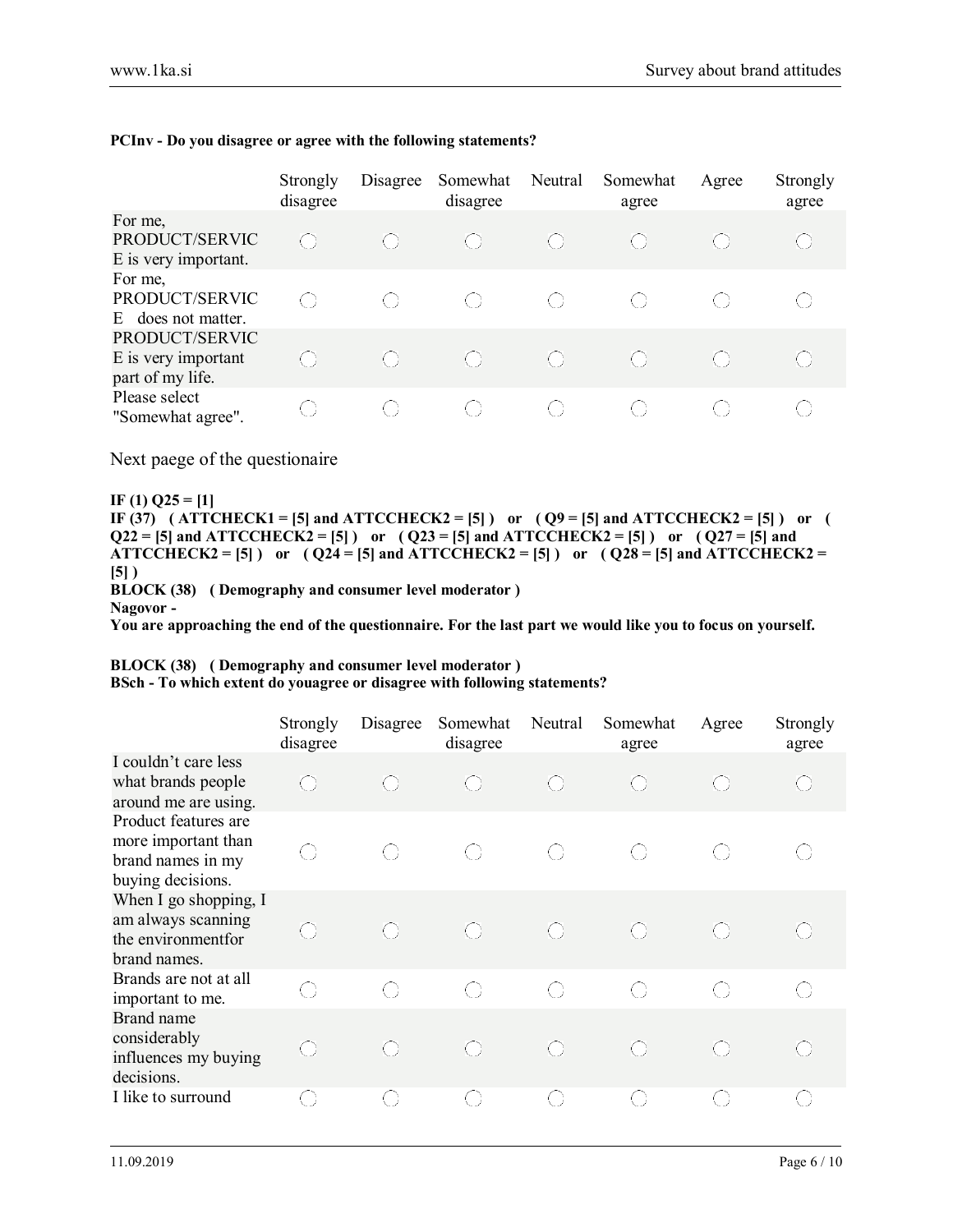|                                                           | Strongly<br>disagree                          | Disagree                                      | Somewhat<br>disagree | Neutral                                       | Somewhat<br>agree                             | Agree | Strongly<br>agree |
|-----------------------------------------------------------|-----------------------------------------------|-----------------------------------------------|----------------------|-----------------------------------------------|-----------------------------------------------|-------|-------------------|
| For me,<br>PRODUCT/SERVIC<br>E is very important.         | $\left( \begin{array}{c} \end{array} \right)$ |                                               |                      |                                               | $\left(\begin{array}{c} \end{array}\right)$   |       |                   |
| For me,<br>PRODUCT/SERVIC<br>does not matter.<br>E.       | ( )                                           | $\left( \begin{array}{c} \end{array} \right)$ |                      | ( )                                           | $\left( \begin{array}{c} \end{array} \right)$ |       |                   |
| PRODUCT/SERVIC<br>E is very important<br>part of my life. | $\left( \begin{array}{c} \end{array} \right)$ |                                               |                      | $\left( \begin{array}{c} \end{array} \right)$ | $\left( \begin{array}{c} \end{array} \right)$ |       |                   |
| Please select<br>"Somewhat agree".                        | ( )                                           |                                               |                      |                                               |                                               |       |                   |

#### **PCInv - Do you disagree or agree with the following statements?**

Next paege of the questionaire

**IF (1) Q25 = [1]**  IF (37)  $(ATTCHECK1 = [5]$  and  $ATTCCHECK2 = [5]$  or  $(Q9 = [5]$  and  $ATTCCHECK2 = [5]$  or  $(Q9 = [5]$  $Q22 = [5]$  and ATTCCHECK2 = [5] ) or  $(Q23 = [5]$  and ATTCCHECK2 = [5] ) or  $(Q27 = [5]$  and ATTCCHECK2 = [5] ) or  $(Q24 = [5]$  and ATTCCHECK2 = [5] ) or  $(Q28 = [5]$  and ATTCCHECK2 = **[5] ) BLOCK (38) ( Demography and consumer level moderator ) Nagovor -** 

**You are approaching the end of the questionnaire. For the last part we would like you to focus on yourself.** 

## **BLOCK (38) ( Demography and consumer level moderator )**

**BSch - To which extent do youagree or disagree with following statements?** 

|                                                                                       | Strongly<br>disagree | Disagree   | Somewhat<br>disagree | Neutral    | Somewhat<br>agree | Agree      | Strongly<br>agree |
|---------------------------------------------------------------------------------------|----------------------|------------|----------------------|------------|-------------------|------------|-------------------|
| I couldn't care less<br>what brands people<br>around me are using.                    | ⊙                    | €          | $\bigodot$           | $\bigcirc$ | $\bigcirc$        | €          | $\bigodot$        |
| Product features are<br>more important than<br>brand names in my<br>buying decisions. | 0                    | $\bigcirc$ | 0                    | $\bigcirc$ | 0                 | $\bigcirc$ | $\bigcirc$        |
| When I go shopping, I<br>am always scanning<br>the environmentfor<br>brand names.     | $\bigodot$           | ⊜          | $\bigodot$           | $\bigcirc$ | $\bigodot$        | ⊙          | $\bigodot$        |
| Brands are not at all<br>important to me.                                             | $\bigcirc$           | O          | $\bigcirc$           | $\bigcirc$ | $\bigcirc$        | $\bigcirc$ | $\left(\ \right)$ |
| Brand name<br>considerably<br>influences my buying<br>decisions.                      | O                    | $\bigcirc$ | $\bigodot$           | $\bigcirc$ | $\bigodot$        | O          | $\bigodot$        |
| I like to surround                                                                    | $\bigcirc$           | 0          | $\bigcirc$           | $\bigcirc$ | $\bigcirc$        | $\bigcirc$ | 0                 |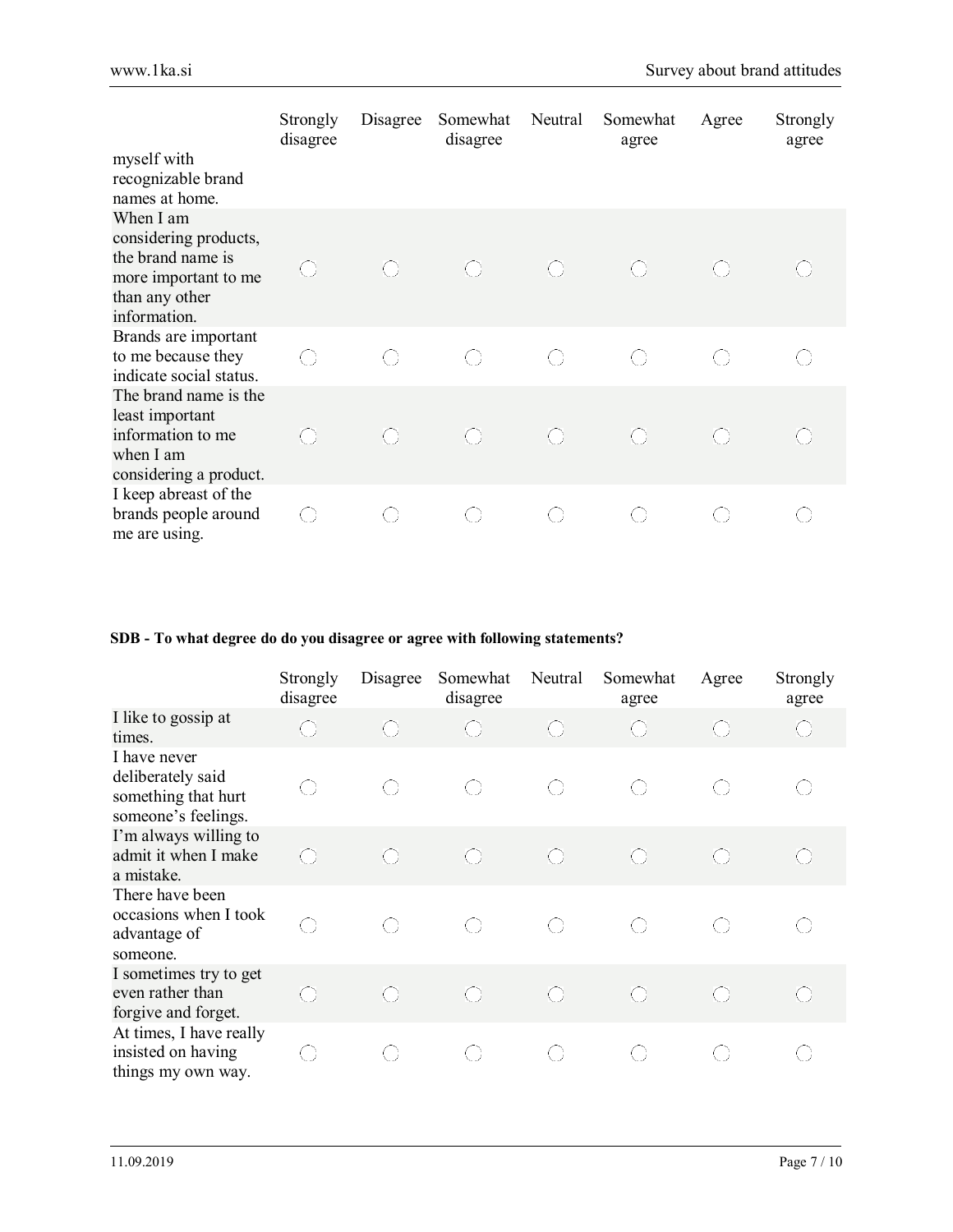|                                                                                                                   | Strongly<br>disagree | Disagree   | Somewhat<br>disagree | Neutral    | Somewhat<br>agree | Agree      | Strongly<br>agree |
|-------------------------------------------------------------------------------------------------------------------|----------------------|------------|----------------------|------------|-------------------|------------|-------------------|
| myself with<br>recognizable brand<br>names at home.                                                               |                      |            |                      |            |                   |            |                   |
| When I am<br>considering products,<br>the brand name is<br>more important to me<br>than any other<br>information. | O                    | $\bigodot$ | $\bigodot$           | $\bigodot$ | $\bigodot$        | ⊙          |                   |
| Brands are important<br>to me because they<br>indicate social status.                                             | $\bigcirc$           | O          | 0                    | $\bigcirc$ | 0                 | O          | $\bigcirc$        |
| The brand name is the<br>least important<br>information to me<br>when I am<br>considering a product.              | $\bigcirc$           | $\bigodot$ | $\bigodot$           | $\bigodot$ | $\bigodot$        | $\bigodot$ | $\bigcirc$        |
| I keep abreast of the<br>brands people around<br>me are using.                                                    | $\bigcirc$           | 0          | 0                    | $\bigcirc$ | $\bigcirc$        | O          | O                 |

# **SDB - To what degree do do you disagree or agree with following statements?**

|                                                                                 | Strongly<br>disagree | Disagree | Somewhat<br>disagree | Neutral    | Somewhat<br>agree | Agree      | Strongly<br>agree |
|---------------------------------------------------------------------------------|----------------------|----------|----------------------|------------|-------------------|------------|-------------------|
| I like to gossip at<br>times.                                                   | O                    | O        | $\bigcirc$           | $\bigcirc$ | $\bigodot$        | $\bigodot$ | $\bigodot$        |
| I have never<br>deliberately said<br>something that hurt<br>someone's feelings. | O                    | 0        | $\bigcirc$           | O          | O                 | O          | O                 |
| I'm always willing to<br>admit it when I make<br>a mistake.                     | $\bigcirc$           | O        | $\bigodot$           | $\bigcirc$ | O                 | $\bigodot$ | $\bigodot$        |
| There have been<br>occasions when I took<br>advantage of<br>someone.            | O                    | O        | $\bigcirc$           | O          | 0                 | $\bigcirc$ | $\bigcirc$        |
| I sometimes try to get<br>even rather than<br>forgive and forget.               | $\bigcirc$           | O        | $\bigodot$           | $\bigcirc$ | $\bigcirc$        | ⊙          | $\bigcirc$        |
| At times, I have really<br>insisted on having<br>things my own way.             | $\bigcirc$           | O        | ○                    | $\bigcirc$ | O                 | $\bigcirc$ |                   |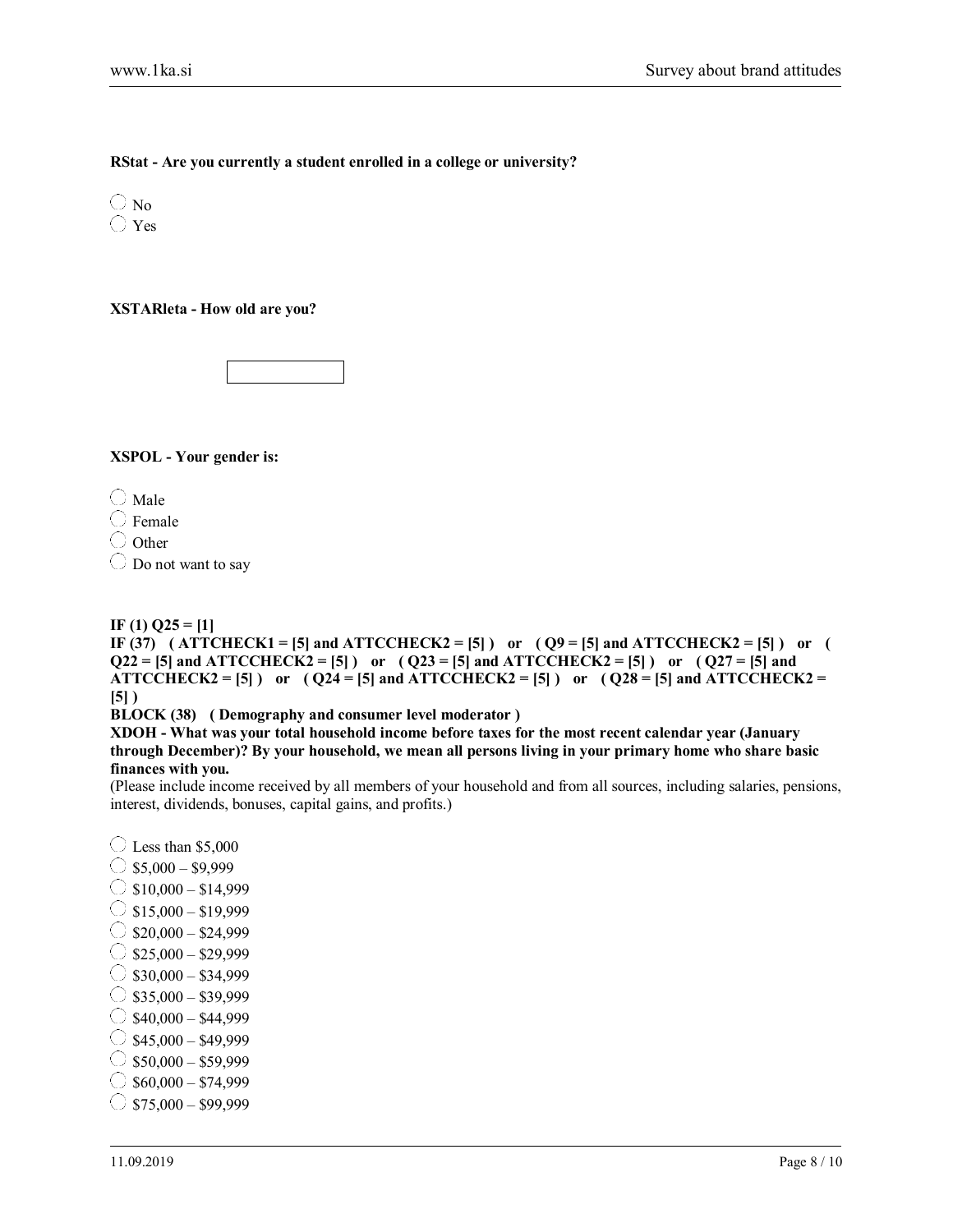#### **RStat - Are you currently a student enrolled in a college or university?**

 $\bigcirc$  No Yes

**XSTARleta - How old are you?**

**XSPOL - Your gender is:**

 $\bigcirc$  Male

 $\bigcirc$  Female

 $\bigcirc$  Other

 $\bigcirc$  Do not want to say

#### **IF (1) Q25 = [1]**

**IF (37)** (ATTCHECK1 = [5] and ATTCCHECK2 = [5] ) or  $(Q9 = 5$ ] and ATTCCHECK2 = [5] ) or (  $Q22 = [5]$  and ATTCCHECK2 = [5] ) or  $(Q23 = [5]$  and ATTCCHECK2 = [5] ) or  $(Q27 = [5]$  and ATTCCHECK2 = [5] ) or  $(Q24 = 5$ ] and ATTCCHECK2 = [5] ) or  $(Q28 = 5$ ] and ATTCCHECK2 = **[5] )** 

**BLOCK (38) ( Demography and consumer level moderator )** 

**XDOH - What was your total household income before taxes for the most recent calendar year (January through December)? By your household, we mean all persons living in your primary home who share basic finances with you.**

(Please include income received by all members of your household and from all sources, including salaries, pensions, interest, dividends, bonuses, capital gains, and profits.)

 $\bigcirc$  Less than \$5,000  $\circ$  \$5,000 – \$9,999  $\bigcirc$  \$10,000 – \$14,999  $\circ$  \$15,000 – \$19,999  $\bigcirc$  \$20,000 – \$24,999  $\circ$  \$25,000 – \$29,999  $\circ$  \$30,000 – \$34,999  $\circ$  \$35,000 – \$39,999  $\circ$ \$40,000 – \$44,999  $\bigcirc$  \$45,000 – \$49,999  $\circ$  \$50,000 – \$59,999  $\circ$  \$60,000 – \$74,999  $\circ$  \$75,000 – \$99,999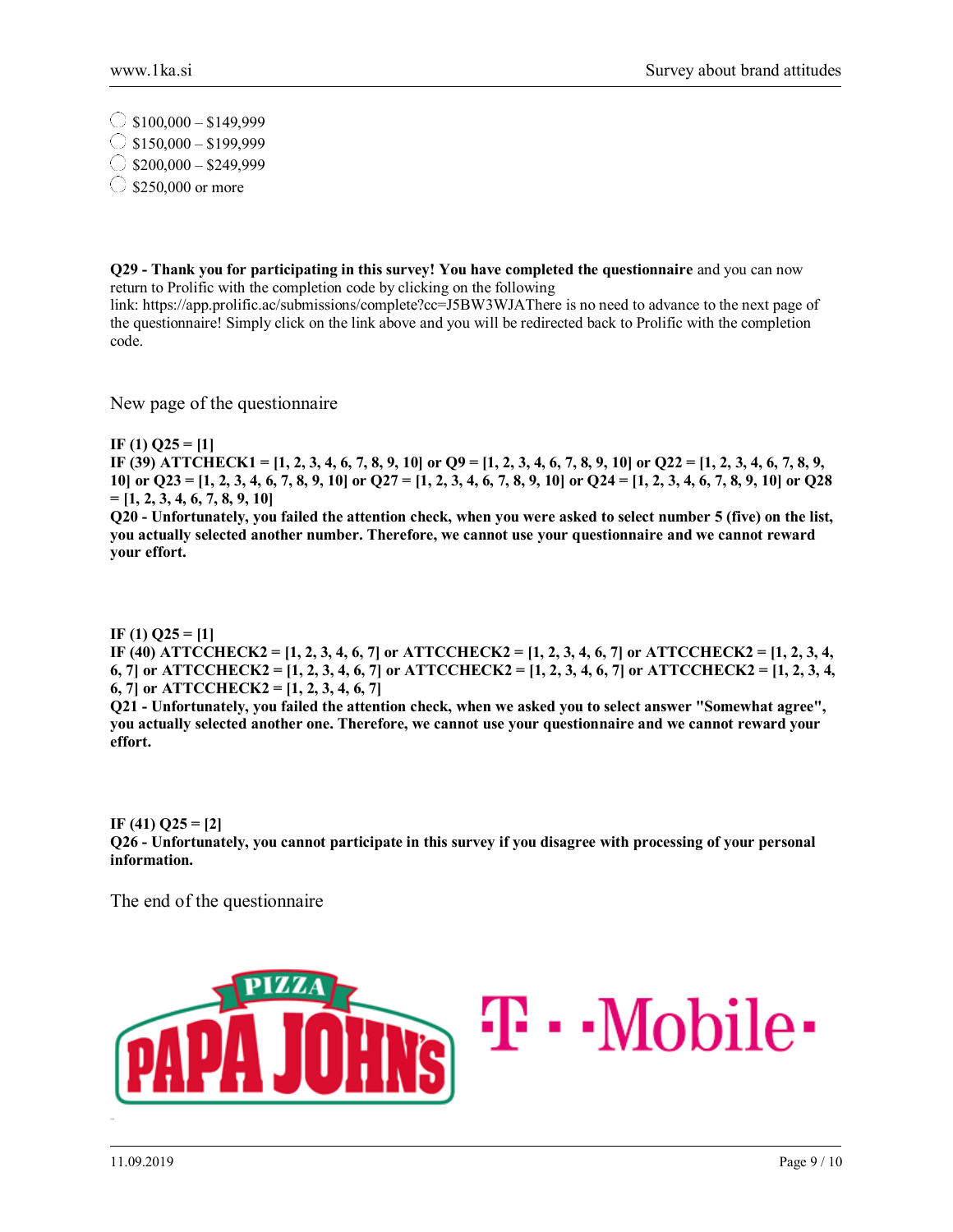$\circ$  \$100,000 – \$149,999  $\circ$  \$150,000 – \$199,999  $\bigcirc$  \$200,000 – \$249,999  $\circ$  \$250,000 or more

**Q29 - Thank you for participating in this survey! You have completed the questionnaire** and you can now return to Prolific with the completion code by clicking on the following

link: https://app.prolific.ac/submissions/complete?cc=J5BW3WJAThere is no need to advance to the next page of the questionnaire! Simply click on the link above and you will be redirected back to Prolific with the completion code.

New page of the questionnaire

**IF (1) Q25 = [1]** 

**IF (39) ATTCHECK1 = [1, 2, 3, 4, 6, 7, 8, 9, 10] or Q9 = [1, 2, 3, 4, 6, 7, 8, 9, 10] or Q22 = [1, 2, 3, 4, 6, 7, 8, 9, 10] or Q23 = [1, 2, 3, 4, 6, 7, 8, 9, 10] or Q27 = [1, 2, 3, 4, 6, 7, 8, 9, 10] or Q24 = [1, 2, 3, 4, 6, 7, 8, 9, 10] or Q28 = [1, 2, 3, 4, 6, 7, 8, 9, 10]** 

**Q20 - Unfortunately, you failed the attention check, when you were asked to select number 5 (five) on the list, you actually selected another number. Therefore, we cannot use your questionnaire and we cannot reward your effort.** 

**IF (1) Q25 = [1] IF (40) ATTCCHECK2 = [1, 2, 3, 4, 6, 7] or ATTCCHECK2 = [1, 2, 3, 4, 6, 7] or ATTCCHECK2 = [1, 2, 3, 4, 6, 7] or ATTCCHECK2 = [1, 2, 3, 4, 6, 7] or ATTCCHECK2 = [1, 2, 3, 4, 6, 7] or ATTCCHECK2 = [1, 2, 3, 4, 6, 7] or ATTCCHECK2 = [1, 2, 3, 4, 6, 7]** 

**Q21 - Unfortunately, you failed the attention check, when we asked you to select answer "Somewhat agree", you actually selected another one. Therefore, we cannot use your questionnaire and we cannot reward your effort.** 

**IF (41) Q25 = [2] Q26 - Unfortunately, you cannot participate in this survey if you disagree with processing of your personal information.**

The end of the questionnaire